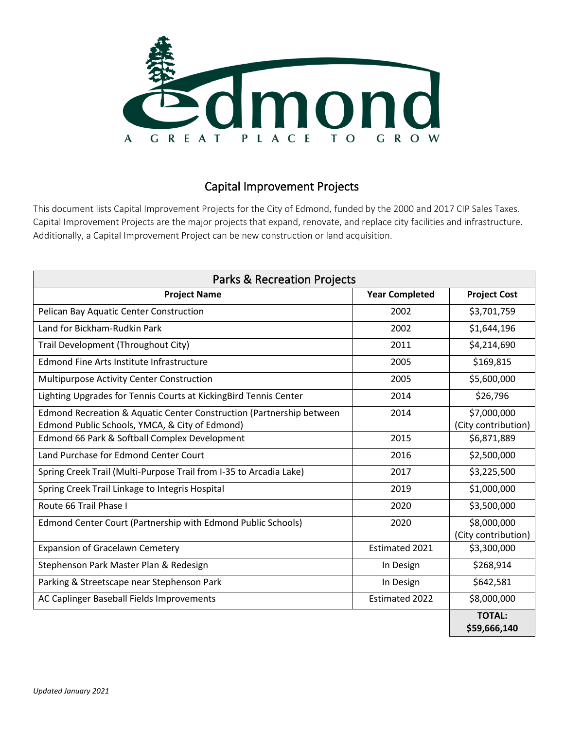

## Capital Improvement Projects

This document lists Capital Improvement Projects for the City of Edmond, funded by the 2000 and 2017 CIP Sales Taxes. Capital Improvement Projects are the major projects that expand, renovate, and replace city facilities and infrastructure. Additionally, a Capital Improvement Project can be new construction or land acquisition.

| <b>Parks &amp; Recreation Projects</b>                                                                                 |                       |                                    |  |  |
|------------------------------------------------------------------------------------------------------------------------|-----------------------|------------------------------------|--|--|
| <b>Project Name</b>                                                                                                    | <b>Year Completed</b> | <b>Project Cost</b>                |  |  |
| Pelican Bay Aquatic Center Construction                                                                                | 2002                  | \$3,701,759                        |  |  |
| Land for Bickham-Rudkin Park                                                                                           | 2002                  | \$1,644,196                        |  |  |
| Trail Development (Throughout City)                                                                                    | 2011                  | \$4,214,690                        |  |  |
| <b>Edmond Fine Arts Institute Infrastructure</b>                                                                       | 2005                  | \$169,815                          |  |  |
| Multipurpose Activity Center Construction                                                                              | 2005                  | \$5,600,000                        |  |  |
| Lighting Upgrades for Tennis Courts at Kicking Bird Tennis Center                                                      | 2014                  | \$26,796                           |  |  |
| Edmond Recreation & Aquatic Center Construction (Partnership between<br>Edmond Public Schools, YMCA, & City of Edmond) | 2014                  | \$7,000,000<br>(City contribution) |  |  |
| Edmond 66 Park & Softball Complex Development                                                                          | 2015                  | \$6,871,889                        |  |  |
| Land Purchase for Edmond Center Court                                                                                  | 2016                  | \$2,500,000                        |  |  |
| Spring Creek Trail (Multi-Purpose Trail from I-35 to Arcadia Lake)                                                     | 2017                  | \$3,225,500                        |  |  |
| Spring Creek Trail Linkage to Integris Hospital                                                                        | 2019                  | \$1,000,000                        |  |  |
| Route 66 Trail Phase I                                                                                                 | 2020                  | \$3,500,000                        |  |  |
| Edmond Center Court (Partnership with Edmond Public Schools)                                                           | 2020                  | \$8,000,000<br>(City contribution) |  |  |
| <b>Expansion of Gracelawn Cemetery</b>                                                                                 | Estimated 2021        | \$3,300,000                        |  |  |
| Stephenson Park Master Plan & Redesign                                                                                 | In Design             | \$268,914                          |  |  |
| Parking & Streetscape near Stephenson Park                                                                             | In Design             | \$642,581                          |  |  |
| AC Caplinger Baseball Fields Improvements                                                                              | <b>Estimated 2022</b> | \$8,000,000                        |  |  |
|                                                                                                                        |                       | <b>TOTAL:</b><br>\$59,666,140      |  |  |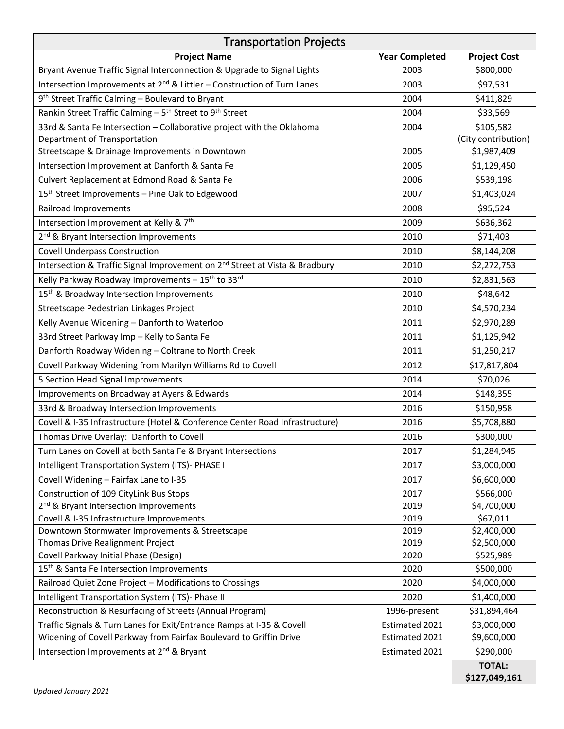| <b>Transportation Projects</b>                                                                  |                       |                         |  |  |
|-------------------------------------------------------------------------------------------------|-----------------------|-------------------------|--|--|
| <b>Project Name</b>                                                                             | <b>Year Completed</b> | <b>Project Cost</b>     |  |  |
| Bryant Avenue Traffic Signal Interconnection & Upgrade to Signal Lights                         | 2003                  | \$800,000               |  |  |
| Intersection Improvements at 2 <sup>nd</sup> & Littler - Construction of Turn Lanes             | 2003                  | \$97,531                |  |  |
| 9 <sup>th</sup> Street Traffic Calming - Boulevard to Bryant                                    | 2004                  | \$411,829               |  |  |
| Rankin Street Traffic Calming - 5 <sup>th</sup> Street to 9 <sup>th</sup> Street                | 2004                  | \$33,569                |  |  |
| 33rd & Santa Fe Intersection - Collaborative project with the Oklahoma                          | 2004                  | \$105,582               |  |  |
| Department of Transportation                                                                    |                       | (City contribution)     |  |  |
| Streetscape & Drainage Improvements in Downtown                                                 | 2005                  | \$1,987,409             |  |  |
| Intersection Improvement at Danforth & Santa Fe                                                 | 2005                  | \$1,129,450             |  |  |
| Culvert Replacement at Edmond Road & Santa Fe                                                   | 2006                  | \$539,198               |  |  |
| 15 <sup>th</sup> Street Improvements - Pine Oak to Edgewood                                     | 2007                  | \$1,403,024             |  |  |
| Railroad Improvements                                                                           | 2008                  | \$95,524                |  |  |
| Intersection Improvement at Kelly & 7th                                                         | 2009                  | \$636,362               |  |  |
| 2 <sup>nd</sup> & Bryant Intersection Improvements                                              | 2010                  | \$71,403                |  |  |
| <b>Covell Underpass Construction</b>                                                            | 2010                  | \$8,144,208             |  |  |
| Intersection & Traffic Signal Improvement on 2 <sup>nd</sup> Street at Vista & Bradbury         | 2010                  | \$2,272,753             |  |  |
| Kelly Parkway Roadway Improvements - 15 <sup>th</sup> to 33 <sup>rd</sup>                       | 2010                  | \$2,831,563             |  |  |
| 15 <sup>th</sup> & Broadway Intersection Improvements                                           | 2010                  | \$48,642                |  |  |
| Streetscape Pedestrian Linkages Project                                                         | 2010                  | \$4,570,234             |  |  |
| Kelly Avenue Widening - Danforth to Waterloo                                                    | 2011                  | \$2,970,289             |  |  |
| 33rd Street Parkway Imp - Kelly to Santa Fe                                                     | 2011                  | \$1,125,942             |  |  |
| Danforth Roadway Widening - Coltrane to North Creek                                             | 2011                  | \$1,250,217             |  |  |
| Covell Parkway Widening from Marilyn Williams Rd to Covell                                      | 2012                  | \$17,817,804            |  |  |
| 5 Section Head Signal Improvements                                                              | 2014                  | \$70,026                |  |  |
| Improvements on Broadway at Ayers & Edwards                                                     | 2014                  | \$148,355               |  |  |
| 33rd & Broadway Intersection Improvements                                                       | 2016                  | \$150,958               |  |  |
| Covell & I-35 Infrastructure (Hotel & Conference Center Road Infrastructure)                    | 2016                  | \$5,708,880             |  |  |
|                                                                                                 |                       | \$300,000               |  |  |
| Thomas Drive Overlay: Danforth to Covell                                                        | 2016                  |                         |  |  |
| Turn Lanes on Covell at both Santa Fe & Bryant Intersections                                    | 2017                  | \$1,284,945             |  |  |
| Intelligent Transportation System (ITS)- PHASE I                                                | 2017                  | \$3,000,000             |  |  |
| Covell Widening - Fairfax Lane to I-35                                                          | 2017                  | \$6,600,000             |  |  |
| Construction of 109 CityLink Bus Stops                                                          | 2017<br>2019          | \$566,000               |  |  |
| 2 <sup>nd</sup> & Bryant Intersection Improvements<br>Covell & I-35 Infrastructure Improvements | 2019                  | \$4,700,000<br>\$67,011 |  |  |
| Downtown Stormwater Improvements & Streetscape                                                  | 2019                  | \$2,400,000             |  |  |
| Thomas Drive Realignment Project                                                                | 2019                  | \$2,500,000             |  |  |
| Covell Parkway Initial Phase (Design)                                                           | 2020                  | \$525,989               |  |  |
| 15 <sup>th</sup> & Santa Fe Intersection Improvements                                           | 2020                  | \$500,000               |  |  |
| Railroad Quiet Zone Project - Modifications to Crossings                                        | 2020                  | \$4,000,000             |  |  |
| Intelligent Transportation System (ITS)- Phase II                                               | 2020                  | \$1,400,000             |  |  |
| Reconstruction & Resurfacing of Streets (Annual Program)                                        | 1996-present          | \$31,894,464            |  |  |
| Traffic Signals & Turn Lanes for Exit/Entrance Ramps at I-35 & Covell                           | Estimated 2021        | \$3,000,000             |  |  |
| Widening of Covell Parkway from Fairfax Boulevard to Griffin Drive                              | Estimated 2021        | \$9,600,000             |  |  |
| Intersection Improvements at 2 <sup>nd</sup> & Bryant                                           | Estimated 2021        | \$290,000               |  |  |
|                                                                                                 |                       | <b>TOTAL:</b>           |  |  |
|                                                                                                 |                       | \$127,049,161           |  |  |